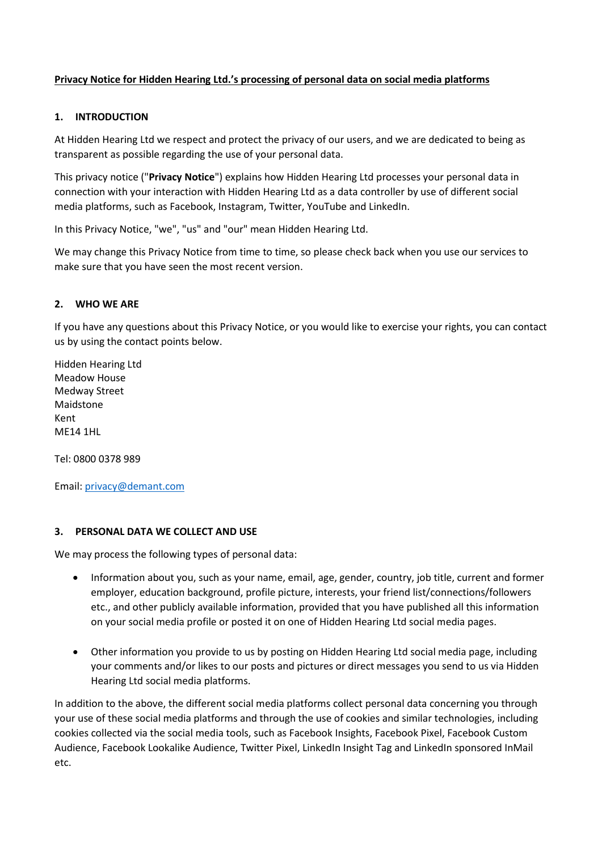### **Privacy Notice for Hidden Hearing Ltd.'s processing of personal data on social media platforms**

### **1. INTRODUCTION**

At Hidden Hearing Ltd we respect and protect the privacy of our users, and we are dedicated to being as transparent as possible regarding the use of your personal data.

This privacy notice ("**Privacy Notice**") explains how Hidden Hearing Ltd processes your personal data in connection with your interaction with Hidden Hearing Ltd as a data controller by use of different social media platforms, such as Facebook, Instagram, Twitter, YouTube and LinkedIn.

In this Privacy Notice, "we", "us" and "our" mean Hidden Hearing Ltd.

We may change this Privacy Notice from time to time, so please check back when you use our services to make sure that you have seen the most recent version.

### **2. WHO WE ARE**

If you have any questions about this Privacy Notice, or you would like to exercise your rights, you can contact us by using the contact points below.

Hidden Hearing Ltd Meadow House Medway Street Maidstone Kent ME14 1HL

Tel: 0800 0378 989

Email: [privacy@demant.com](mailto:privacy@demant.com)

#### **3. PERSONAL DATA WE COLLECT AND USE**

We may process the following types of personal data:

- Information about you, such as your name, email, age, gender, country, job title, current and former employer, education background, profile picture, interests, your friend list/connections/followers etc., and other publicly available information, provided that you have published all this information on your social media profile or posted it on one of Hidden Hearing Ltd social media pages.
- Other information you provide to us by posting on Hidden Hearing Ltd social media page, including your comments and/or likes to our posts and pictures or direct messages you send to us via Hidden Hearing Ltd social media platforms.

In addition to the above, the different social media platforms collect personal data concerning you through your use of these social media platforms and through the use of cookies and similar technologies, including cookies collected via the social media tools, such as Facebook Insights, Facebook Pixel, Facebook Custom Audience, Facebook Lookalike Audience, Twitter Pixel, LinkedIn Insight Tag and LinkedIn sponsored InMail etc.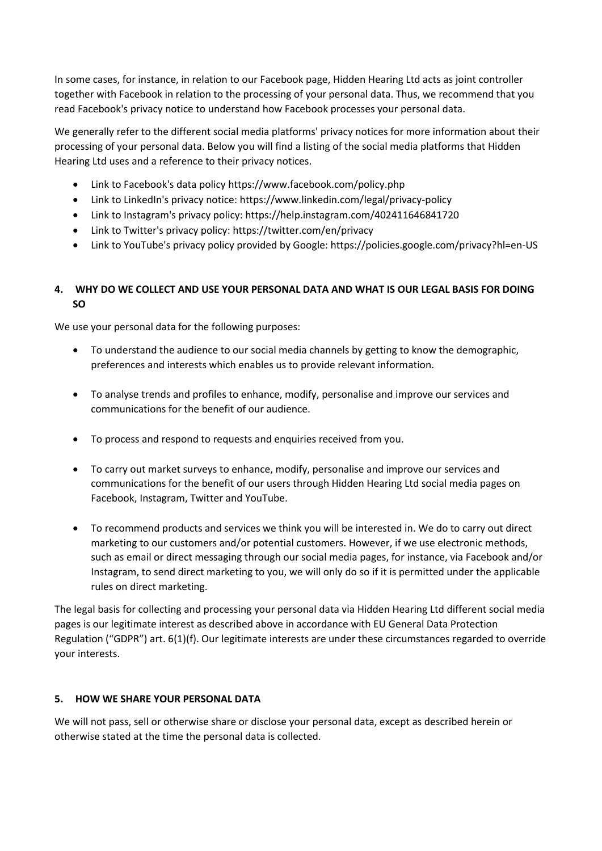In some cases, for instance, in relation to our Facebook page, Hidden Hearing Ltd acts as joint controller together with Facebook in relation to the processing of your personal data. Thus, we recommend that you read Facebook's privacy notice to understand how Facebook processes your personal data.

We generally refer to the different social media platforms' privacy notices for more information about their processing of your personal data. Below you will find a listing of the social media platforms that Hidden Hearing Ltd uses and a reference to their privacy notices.

- Link to Facebook's data policy https://www.facebook.com/policy.php
- Link to LinkedIn's privacy notice: https://www.linkedin.com/legal/privacy-policy
- Link to Instagram's privacy policy: https://help.instagram.com/402411646841720
- Link to Twitter's privacy policy: https://twitter.com/en/privacy
- Link to YouTube's privacy policy provided by Google: https://policies.google.com/privacy?hl=en-US

# **4. WHY DO WE COLLECT AND USE YOUR PERSONAL DATA AND WHAT IS OUR LEGAL BASIS FOR DOING SO**

We use your personal data for the following purposes:

- To understand the audience to our social media channels by getting to know the demographic, preferences and interests which enables us to provide relevant information.
- To analyse trends and profiles to enhance, modify, personalise and improve our services and communications for the benefit of our audience.
- To process and respond to requests and enquiries received from you.
- To carry out market surveys to enhance, modify, personalise and improve our services and communications for the benefit of our users through Hidden Hearing Ltd social media pages on Facebook, Instagram, Twitter and YouTube.
- To recommend products and services we think you will be interested in. We do to carry out direct marketing to our customers and/or potential customers. However, if we use electronic methods, such as email or direct messaging through our social media pages, for instance, via Facebook and/or Instagram, to send direct marketing to you, we will only do so if it is permitted under the applicable rules on direct marketing.

The legal basis for collecting and processing your personal data via Hidden Hearing Ltd different social media pages is our legitimate interest as described above in accordance with EU General Data Protection Regulation ("GDPR") art. 6(1)(f). Our legitimate interests are under these circumstances regarded to override your interests.

# **5. HOW WE SHARE YOUR PERSONAL DATA**

We will not pass, sell or otherwise share or disclose your personal data, except as described herein or otherwise stated at the time the personal data is collected.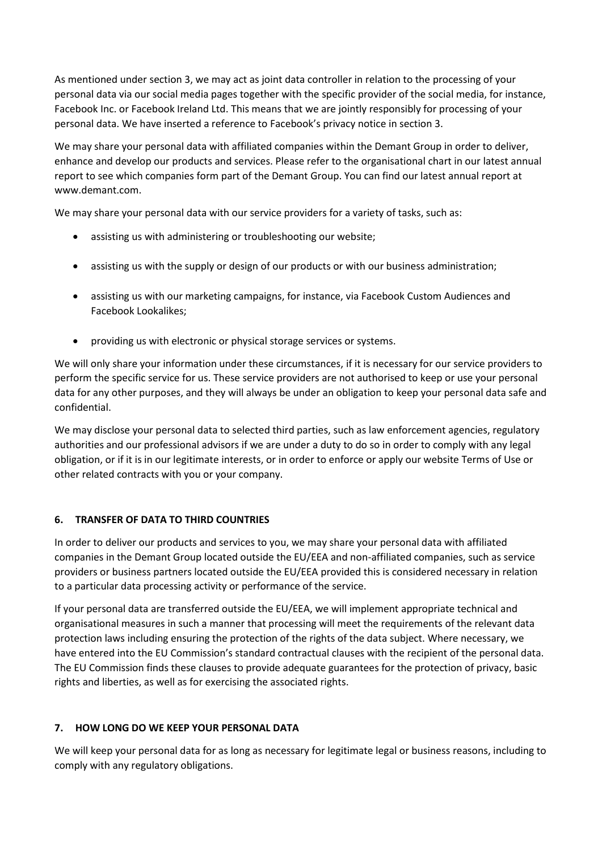As mentioned under section 3, we may act as joint data controller in relation to the processing of your personal data via our social media pages together with the specific provider of the social media, for instance, Facebook Inc. or Facebook Ireland Ltd. This means that we are jointly responsibly for processing of your personal data. We have inserted a reference to Facebook's privacy notice in section 3.

We may share your personal data with affiliated companies within the Demant Group in order to deliver, enhance and develop our products and services. Please refer to the organisational chart in our latest annual report to see which companies form part of the Demant Group. You can find our latest annual report at www.demant.com.

We may share your personal data with our service providers for a variety of tasks, such as:

- assisting us with administering or troubleshooting our website;
- assisting us with the supply or design of our products or with our business administration;
- assisting us with our marketing campaigns, for instance, via Facebook Custom Audiences and Facebook Lookalikes;
- providing us with electronic or physical storage services or systems.

We will only share your information under these circumstances, if it is necessary for our service providers to perform the specific service for us. These service providers are not authorised to keep or use your personal data for any other purposes, and they will always be under an obligation to keep your personal data safe and confidential.

We may disclose your personal data to selected third parties, such as law enforcement agencies, regulatory authorities and our professional advisors if we are under a duty to do so in order to comply with any legal obligation, or if it is in our legitimate interests, or in order to enforce or apply our website Terms of Use or other related contracts with you or your company.

# **6. TRANSFER OF DATA TO THIRD COUNTRIES**

In order to deliver our products and services to you, we may share your personal data with affiliated companies in the Demant Group located outside the EU/EEA and non-affiliated companies, such as service providers or business partners located outside the EU/EEA provided this is considered necessary in relation to a particular data processing activity or performance of the service.

If your personal data are transferred outside the EU/EEA, we will implement appropriate technical and organisational measures in such a manner that processing will meet the requirements of the relevant data protection laws including ensuring the protection of the rights of the data subject. Where necessary, we have entered into the EU Commission's standard contractual clauses with the recipient of the personal data. The EU Commission finds these clauses to provide adequate guarantees for the protection of privacy, basic rights and liberties, as well as for exercising the associated rights.

# **7. HOW LONG DO WE KEEP YOUR PERSONAL DATA**

We will keep your personal data for as long as necessary for legitimate legal or business reasons, including to comply with any regulatory obligations.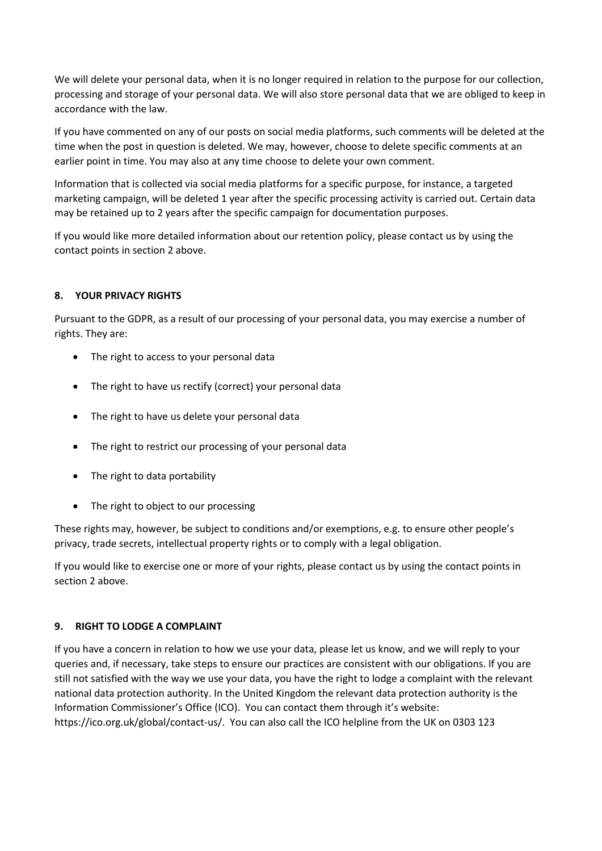We will delete your personal data, when it is no longer required in relation to the purpose for our collection, processing and storage of your personal data. We will also store personal data that we are obliged to keep in accordance with the law.

If you have commented on any of our posts on social media platforms, such comments will be deleted at the time when the post in question is deleted. We may, however, choose to delete specific comments at an earlier point in time. You may also at any time choose to delete your own comment.

Information that is collected via social media platforms for a specific purpose, for instance, a targeted marketing campaign, will be deleted 1 year after the specific processing activity is carried out. Certain data may be retained up to 2 years after the specific campaign for documentation purposes.

If you would like more detailed information about our retention policy, please contact us by using the contact points in section 2 above.

# **8. YOUR PRIVACY RIGHTS**

Pursuant to the GDPR, as a result of our processing of your personal data, you may exercise a number of rights. They are:

- The right to access to your personal data
- The right to have us rectify (correct) your personal data
- The right to have us delete your personal data
- The right to restrict our processing of your personal data
- The right to data portability
- The right to object to our processing

These rights may, however, be subject to conditions and/or exemptions, e.g. to ensure other people's privacy, trade secrets, intellectual property rights or to comply with a legal obligation.

If you would like to exercise one or more of your rights, please contact us by using the contact points in section 2 above.

# **9. RIGHT TO LODGE A COMPLAINT**

If you have a concern in relation to how we use your data, please let us know, and we will reply to your queries and, if necessary, take steps to ensure our practices are consistent with our obligations. If you are still not satisfied with the way we use your data, you have the right to lodge a complaint with the relevant national data protection authority. In the United Kingdom the relevant data protection authority is the Information Commissioner's Office (ICO). You can contact them through it's website: https://ico.org.uk/global/contact-us/. You can also call the ICO helpline from the UK on 0303 123